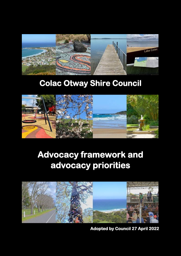

# **Colac Otway Shire Council**



# **Advocacy framework and advocacy priorities**



**Adopted by Council 27 April 2022**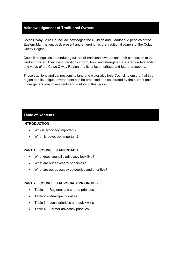#### **Acknowledgement of Traditional Owners**

Colac Otway Shire Council acknowledges the Gulidjan and Gadubanud peoples of the Eastern Marr nation, past, present and emerging, as the traditional owners of the Colac Otway Region.

Council recognises the enduring culture of traditional owners and their connection to the land and water. Their living traditions inform, build and strengthen a shared understanding and value of the Colac Otway Region and its unique heritage and future prosperity.

These traditions and connections to land and water also help Council to ensure that this region and its unique environment can be protected and celebrated by the current and future generations of residents and visitors to this region.

#### **Table of Contents**

#### **INTRODUCTION**

- Why is advocacy important?
- When is advocacy important?

#### **PART 1: COUNCIL'S APPROACH**

- What does council's advocacy look like?
- What are our advocacy principles?
- What are our advocacy categories and priorities?

#### **PART 2: COUNCIL'S ADVOCACY PRIORITIES**

- Table 1 Regional and shared priorities
- $\bullet$  Table 2 Municipal priorities
- Table 3 Local priorities and quick wins
- Table 4 Former advocacy priorities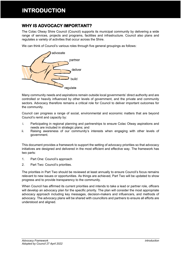## **INTRODUCTION**

## **WHY IS ADVOCACY IMPORTANT?**

The Colac Otway Shire Council (Council) supports its municipal community by delivering a wide range of services, projects and programs, facilities and infrastructure. Council also plans and regulates a variety of activities that occur across the Shire.

We can think of Council's various roles through five general groupings as follows:



Many community needs and aspirations remain outside local governments' direct authority and are controlled or heavily influenced by other levels of government, and the private and community sectors. Advocacy therefore remains a critical role for Council to deliver important outcomes for the community.

Council can progress a range of social, environmental and economic matters that are beyond Council's remit and capacity by:

- i. Participating in regional planning and partnerships to ensure Colac Otway aspirations and needs are included in strategic plans; and
- ii. Raising awareness of our community's interests when engaging with other levels of government.

This document provides a framework to support the setting of advocacy priorities so that advocacy initiatives are designed and delivered in the most efficient and effective way. The framework has two parts:

- 1. Part One: Council's approach
- 2. Part Two: Council's priorities.

The priorities in Part Two should be reviewed at least annually to ensure Council's focus remains relevant to new issues or opportunities. As things are achieved, Part Two will be updated to show progress and to provide transparency to the community.

When Council has affirmed its current priorities and intends to take a lead or partner role, officers will develop an advocacy plan for the specific priority. The plan will consider the most appropriate advocacy approach including key messages, decision-makers and influencers, and methods of advocacy. The advocacy plans will be shared with councillors and partners to ensure all efforts are understood and aligned.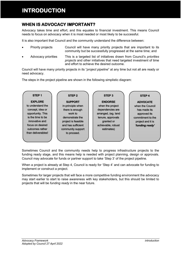## **INTRODUCTION**

## **WHEN IS ADVOCACY IMPORTANT?**

Advocacy takes time and effort, and this equates to financial investment. This means Council needs to focus on advocacy when it is most needed or most likely to be successful.

It is also important that Council and the community understand the difference between:

- Priority projects Council will have many priority projects that are important to its community but be successfully progressed at the same time; and
- Advocacy priorities This is a targeted list of initiatives drawn from Council's *priorities projects* and other initiatives that need targeted investment of time and effort to achieve the desired outcome.

Council will have many priority projects in its "*project pipeline*" at any time but not all are ready or need advocacy.

The steps in the project pipeline are shown in the following simplistic diagram:



Sometimes Council and the community needs help to progress infrastructure projects to the funding ready stage, and this means help is needed with project planning, design or approvals. Council may advocate for funds or partner support to take 'Step 3' of the project pipeline.

When a project is already at Step 4, Council is ready for 'Step 4' and can advocate for funding to implement or construct a project.

Sometimes for larger projects that will face a more competitive funding environment the advocacy may start earlier to start to raise awareness with key stakeholders, but this should be limited to projects that will be *funding ready* in the near future.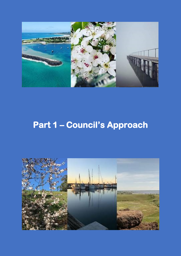

# **Part 1 – Council's Approach**

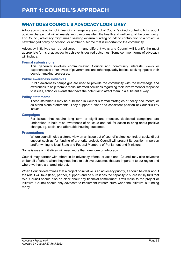## **WHAT DOES COUNCIL'S ADVOCACY LOOK LIKE?**

Advocacy is the action of influencing change in areas out of Council's direct control to bring about positive change that will ultimately improve or maintain the health and wellbeing of the community. For Council, advocacy might mean seeking external funding or in-kind contribution to a project, a new/changed policy or position, or another outcome that is important to the community.

Advocacy initiatives can be delivered in many different ways and Council will identify the most appropriate forms of advocacy to achieve its desired outcomes. Some common forms of advocacy will include:

#### **Formal submissions**

This generally involves communicating Council and community interests, views or experiences to other levels of governments and other regularity bodies, seeking input to their decision-making processes.

#### **Public awareness initiatives**

Public awareness campaigns are used to provide the community with the knowledge and awareness to help them to make informed decisions regarding their involvement or response to issues, action or events that have the potential to affect them in a substantial way.

#### **Policy statements**

These statements may be published in Council's formal strategies or policy documents, or as stand-alone statements. They support a clear and consistent position of Council's key issues.

#### **Campaigns**

For issues that require long term or significant attention, dedicated campaigns are undertaken to help raise awareness of an issue and call for action to bring about positive change, eg. social and affordable housing outcomes.

#### **Presentations**

Where council holds a strong view on an issue out of council's direct control, of seeks direct support such as for funding of a priority project, Council will present its position in person and/or writing to local State and Federal Members of Parliament and Ministers.

Some issues or initiatives will need more than one form of advocacy.

Council may partner with others in its advocacy efforts, or act alone. Council may also advocate on behalf of others when they need help to achieve outcomes that are important to our region and where we have a shared interest.

When Council determines that a project or initiative is an advocacy priority, it should be clear about the role it will take (lead, partner, support) and be sure it has the capacity to successfully fulfil that role. Council should also be clear about any financial commitment it will make to the project or initiative. Council should only advocate to implement infrastructure when the initiative is 'funding ready'.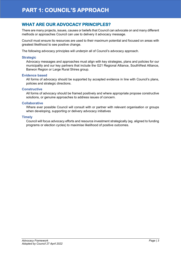## **WHAT ARE OUR ADVOCACY PRINCIPLES?**

There are many projects, issues, causes or beliefs that Council can advocate on and many different methods or approaches Council can use to delivery it advocacy message.

Council must ensure its resources are used to their maximum potential and focused on areas with greatest likelihood to see positive change.

The following advocacy principles will underpin all of Council's advocacy approach.

#### **Strategic**

Advocacy messages and approaches must align with key strategies, plans and policies for our municipality and our key partners that include the G21 Regional Alliance, SouthWest Alliance, Barwon Region or Large Rural Shires group.

#### **Evidence based**

All forms of advocacy should be supported by accepted evidence in line with Council's plans, policies and strategic directions.

#### **Constructive**

All forms of advocacy should be framed positively and where appropriate propose constructive solutions, or genuine approaches to address issues of concern.

#### **Collaborative**

Where ever possible Council will consult with or partner with relevant organisation or groups when developing, supporting or delivery advocacy initiatives

#### **Timely**

Council will focus advocacy efforts and resource investment strategically (eg. aligned to funding programs or election cycles) to maximise likelihood of positive outcomes.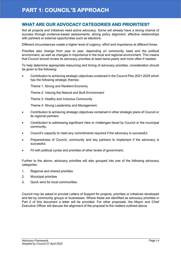### **WHAT ARE OUR ADVOCACY CATEGORIES AND PRIORITIES?**

Not all projects and initiatives need active advocacy. Some will already have a strong chance of success through evidence-based assessments, strong policy alignment, effective relationships with partners or external opportunities such as elections.

Different circumstances create a higher level of urgency, effort and importance at different times.

Priorities also change from year to year, depending on community need and the political environment, as well as changes in importance in the local and regional environment. This means that Council should review its advocacy priorities at least twice-yearly and more often if needed.

To help determine appropriate resourcing and timing of advocacy priorities, consideration should be given to the following:

 Contribution to achieving strategic objectives contained in the Council Plan 2021-2025 which has the following strategic themes:

Theme 1: Strong and Resilient Economy

Theme 2: Valuing the Natural and Built Environment

Theme 3: Healthy and Inclusive Community

Theme 4: Strong Leadership and Management.

- Contribution to achieving strategic objectives contained in other strategic plans of Council or its regional partners.
- Contribution to addressing significant risks or challenges faced by Council or the municipal community.
- Council's capacity to meet any commitments required if the advocacy is successful.
- Preparedness of Council, community and key partners to implement if the advocacy is successful.
- Fit with political cycles and priorities of other levels of government.

Further to the above, advocacy priorities will also grouped into one of the following advocacy categories:

- 1. Regional and shared priorities
- 2. Municipal priorities
- 3. Quick wins for local communities.

Council may be asked to provide Letters of Support for projects, priorities or initiatives developed and led by community groups or businesses. Where these are identified as advocacy priorities in Part 2 of this document a letter will be provided. For other proposals, the Mayor and Chief Executive Officer will discuss the alignment of the proposal to the matters outlined above.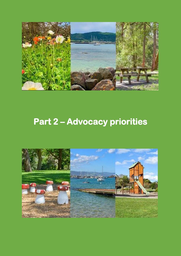

# **Part 2 – Advocacy priorities**

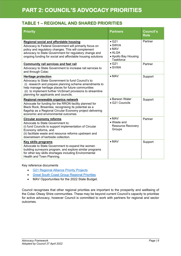### **TABLE 1 – REGIONAL AND SHARED PRIORITIES**

| <b>Priority</b>                                                                                                                                                                                                                                                                                          | <b>Partners</b>                                                                                         | <b>Council's</b><br><b>Role</b> |
|----------------------------------------------------------------------------------------------------------------------------------------------------------------------------------------------------------------------------------------------------------------------------------------------------------|---------------------------------------------------------------------------------------------------------|---------------------------------|
| Regional social and affordable housing<br>Advocacy to Federal Government will primarily focus on<br>policy and regulatory changes. This will complement<br>advocacy to State Government for regulatory change and<br>ongoing funding for social and affordable housing solutions                         | $\bullet$ G21<br>$\bullet$ SWVA<br>$\bullet$ MAV<br>$\bullet$ ALGA<br>• Apollo Bay Housing<br>Taskforce | Partner                         |
| <b>Community rail services and fast rail</b><br>Advocacy to State Government to increase rail services to<br>and through Colac                                                                                                                                                                           | $\bullet$ G21<br>$\bullet$ SVWA                                                                         | Partner                         |
| <b>Heritage protection</b><br>Advocacy to State Government to fund Council's to:<br>(i) research and prepare planning scheme amendments to<br>help manage heritage places for future communities<br>(ii) to implement further VicSmart provisions to streamline<br>planning for applicants and councils. | $\bullet$ MAV                                                                                           | Support                         |
| Regional renewable organics network<br>Advocate for funding for the RRON facility planned for<br>Black Rock, Breamlea, recognising its potential as a<br>flagship as a Regional Circular Economy project delivering<br>economic and environmental outcomes                                               | • Barwon Water<br>• G21 Councils                                                                        | Support                         |
| <b>Circular economy reforms</b><br>Advocate to State Government to:<br>(i) fund Councils to support implementation of Circular<br>Economy reforms, and<br>(ii) facilitate waste and resource reforms upstream and<br>downstream of kerbside collection.                                                  | $\bullet$ MAV<br>$\bullet$ Waste and<br><b>Resource Recovery</b><br>Groups                              | Partner                         |
| <b>Key skills programs</b><br>Advocate to State Government to expand the women<br>building surveyors program, and explore similar programs<br>for other key skills shortages including Environmental<br>Health and Town Planning.                                                                        | $\bullet$ MAV                                                                                           | Support                         |

Key reference documents

- **[G21 Regional Alliance Priority Projects](https://online.flippingbook.com/view/495274454/32/)**
- [Great South Coast Group Regional Priorities](http://www.greatsouthcoast.com.au/regional-priorities/)
- MAV Opportunities for the 2022 State Budget.

Council recognises that other regional priorities are important to the prosperity and wellbeing of the Colac Otway Shire communities. These may be beyond current Council's capacity to prioritise for active advocacy, however Council is committed to work with partners for regional and sector outcomes.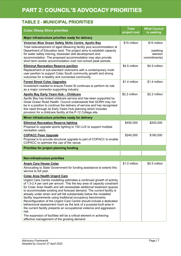### **TABLE 2 - MUNICIPAL PRIORITIES**

| <b>Colac Otway Shire priorities</b>                                                                                                                                                                                                                                                                                                                                                                                                                                                                                                                                                                                                                                                                                                                                                                                                      | <b>Total</b><br>project cost | <b>What Council</b><br>is seeking                    |
|------------------------------------------------------------------------------------------------------------------------------------------------------------------------------------------------------------------------------------------------------------------------------------------------------------------------------------------------------------------------------------------------------------------------------------------------------------------------------------------------------------------------------------------------------------------------------------------------------------------------------------------------------------------------------------------------------------------------------------------------------------------------------------------------------------------------------------------|------------------------------|------------------------------------------------------|
| Major infrastructure priorities ready for delivery                                                                                                                                                                                                                                                                                                                                                                                                                                                                                                                                                                                                                                                                                                                                                                                       |                              |                                                      |
| Victorian Blue Ocean Safety Skills Centre, Apollo Bay<br>Total redevelopment of aged lifesaving facility plus accommodation at<br>Department of Education land. The project aims to establish capacity<br>for water safety training, bluewater skill development and<br>accommodation. The proposed accommodation may also provide<br>short term worker accommodation over non-school peak periods.                                                                                                                                                                                                                                                                                                                                                                                                                                      | \$15 million                 | \$15 million<br>(seeking<br>election<br>commitments) |
| <b>Elliminyt Recreation Reserve pavilion</b><br>Replacement of sub-standard clubrooms with a contemporary multi-<br>user pavilion to support Colac South community growth and strong<br>outcomes for a healthy and connected community.                                                                                                                                                                                                                                                                                                                                                                                                                                                                                                                                                                                                  | \$4.5 million                | \$4.5 million                                        |
| <b>Forest Street Colac Upgrades</b><br>Investment needed to ensure Forest St continues to perform its role<br>as a major connector supporting industry.                                                                                                                                                                                                                                                                                                                                                                                                                                                                                                                                                                                                                                                                                  | \$1.4 million                | \$1.4 million                                        |
| <b>Apollo Bay Early Years Hub - Childcare</b><br>Apollo Bay has limited childcare service and has been supported by<br>Great Ocean Road Health. Council understands that GORH may not<br>be in a position to continue the delivery of service and has recognised<br>this need through its Early Years Hub planning which includes<br>provision for a childcare facility at the P-12 College site.                                                                                                                                                                                                                                                                                                                                                                                                                                        | \$2.2 million                | \$2.2 million                                        |
| Minor infrastructure priorities ready for delivery                                                                                                                                                                                                                                                                                                                                                                                                                                                                                                                                                                                                                                                                                                                                                                                       |                              |                                                      |
| <b>Elliminyt Recreation Reserve lighting</b><br>Proposal to upgrade sports lighting to 150 LUX to support multiple<br>recreation users.                                                                                                                                                                                                                                                                                                                                                                                                                                                                                                                                                                                                                                                                                                  | \$450,000                    | \$200,000                                            |
| <b>COPACC Floor Upgrade</b><br>Proposal is to provide structural upgrade to part of COPACC to enable<br>COPACC to optimise the use of the venue.                                                                                                                                                                                                                                                                                                                                                                                                                                                                                                                                                                                                                                                                                         | \$240,000                    | \$180,000                                            |
| <b>Priorities for project planning funding</b>                                                                                                                                                                                                                                                                                                                                                                                                                                                                                                                                                                                                                                                                                                                                                                                           |                              |                                                      |
|                                                                                                                                                                                                                                                                                                                                                                                                                                                                                                                                                                                                                                                                                                                                                                                                                                          |                              |                                                      |
| <b>Non-infrastructure priorities</b>                                                                                                                                                                                                                                                                                                                                                                                                                                                                                                                                                                                                                                                                                                                                                                                                     |                              |                                                      |
| <u>Anam Cara House Colac</u><br>Advocating to State Government for funding assistance to extend this<br>service to full year.                                                                                                                                                                                                                                                                                                                                                                                                                                                                                                                                                                                                                                                                                                            | \$1.0 million                | \$0.5 million                                        |
| <b>Colac Area Health Urgent Care</b><br>Urgent Care Centre modelling estimates a continued growth of activity<br>of 1.5-2.4 per cent per annum. This the key area of capacity constraint<br>for Colac Area Health and will necessitate additional treatment spaces<br>to accommodate existing and forecast demand. The current facility is<br>already under strain and will fall substantially below the modelled<br>facility requirements using traditional occupancy benchmarks.<br>Reconfiguration of the Urgent Care Centre should include a dedicated<br>behavioural assessment room as the lack of a purpose-built area in<br>the current facility presents an occupational violence and aggression<br>risk.<br>The expansion of facilities will be a critical element in achieving<br>effective management of the growing demand. |                              |                                                      |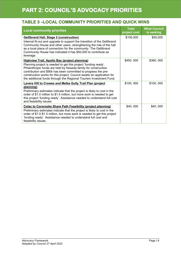## **PART 2: COUNCIL'S ADVOCACY PRIORITIES**

### **TABLE 3 –LOCAL COMMUNITY PRIORITIES AND QUICK WINS**

| <b>Local community priorities</b>                                                                                                                                                                                                                                                                                                                                                                           | <b>Total</b><br>project cost | <b>What Council</b><br>is seeking |
|-------------------------------------------------------------------------------------------------------------------------------------------------------------------------------------------------------------------------------------------------------------------------------------------------------------------------------------------------------------------------------------------------------------|------------------------------|-----------------------------------|
| <b>Gellibrand Hall, Stage 2 (construction)</b><br>Internal fit-out and upgrade to support the transition of the Gellibrand<br>Community House and other users, strengthening the role of the hall<br>as a local place of connection for the community. The Gellibrand<br>Community House has indicated it has \$50,000 to contribute as<br>leverage.                                                        | \$100,000                    | \$50,000                          |
| <b>Highview Trail, Apollo Bay (project planning)</b><br>Planning project is needed to get this project 'funding ready'.<br>Philanthropic funds are held by Noseda family for construction<br>contribution and \$90k has been committed to progress the pre-<br>construction works for this project. Council awaits an application for<br>the additional funds through the Regional Tourism Investment Fund. | \$450,000                    | \$360,000                         |
| <b>Lavers Hill to Crowes and Melba Gully Trail Plan (project</b><br>planning)<br>Preliminary estimates indicate that the project is likely to cost in the<br>order of \$1.0 million to \$1.5 million, but more work is needed to get<br>this project 'funding ready'. Assistance needed to understand full cost<br>and feasibility issues.                                                                  | \$100,000                    | \$100,000                         |
| <b>Colac to Cororooke Share Path Feasibility (project planning)</b><br>Preliminary estimates indicate that the project is likely to cost in the<br>order of \$1.0-\$1.5 million, but more work is needed to get this project<br>'funding ready'. Assistance needed to understand full cost and<br>feasibility issues.                                                                                       | \$40,000                     | \$40,000                          |